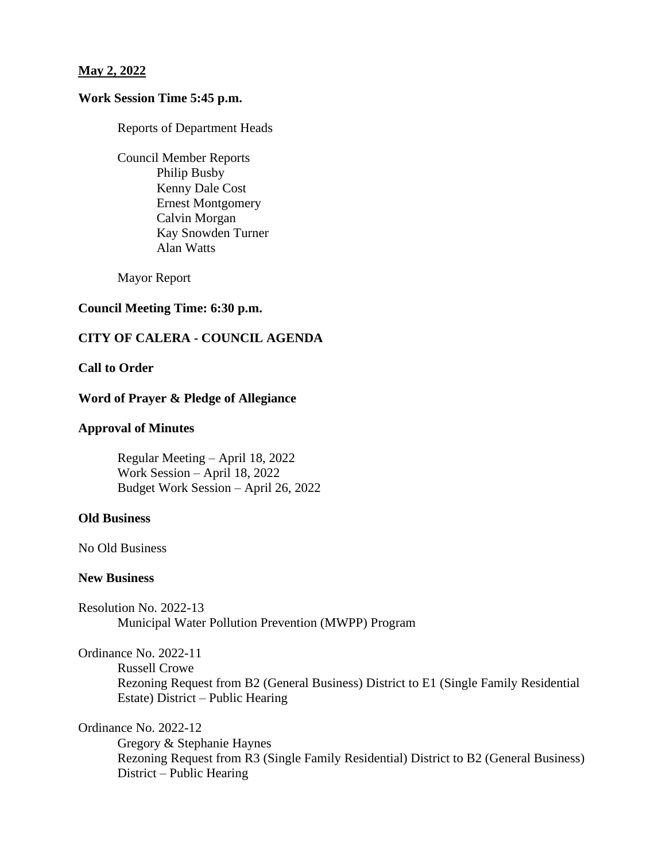## **May 2, 2022**

# **Work Session Time 5:45 p.m.**

Reports of Department Heads

Council Member Reports Philip Busby Kenny Dale Cost Ernest Montgomery Calvin Morgan Kay Snowden Turner Alan Watts

Mayor Report

## **Council Meeting Time: 6:30 p.m.**

## **CITY OF CALERA - COUNCIL AGENDA**

#### **Call to Order**

## **Word of Prayer & Pledge of Allegiance**

### **Approval of Minutes**

Regular Meeting – April 18, 2022 Work Session – April 18, 2022 Budget Work Session – April 26, 2022

#### **Old Business**

No Old Business

## **New Business**

Resolution No. 2022-13 Municipal Water Pollution Prevention (MWPP) Program

Ordinance No. 2022-11

Russell Crowe

Rezoning Request from B2 (General Business) District to E1 (Single Family Residential Estate) District – Public Hearing

Ordinance No. 2022-12

Gregory & Stephanie Haynes Rezoning Request from R3 (Single Family Residential) District to B2 (General Business) District – Public Hearing